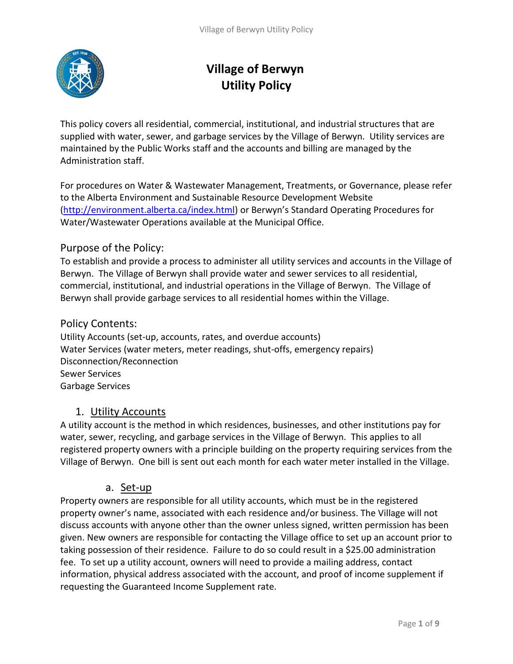

# **Village of Berwyn Utility Policy**

This policy covers all residential, commercial, institutional, and industrial structures that are supplied with water, sewer, and garbage services by the Village of Berwyn. Utility services are maintained by the Public Works staff and the accounts and billing are managed by the Administration staff.

For procedures on Water & Wastewater Management, Treatments, or Governance, please refer to the Alberta Environment and Sustainable Resource Development Website [\(http://environment.alberta.ca/index.html\)](http://environment.alberta.ca/index.html) or Berwyn's Standard Operating Procedures for Water/Wastewater Operations available at the Municipal Office.

## Purpose of the Policy:

To establish and provide a process to administer all utility services and accounts in the Village of Berwyn. The Village of Berwyn shall provide water and sewer services to all residential, commercial, institutional, and industrial operations in the Village of Berwyn. The Village of Berwyn shall provide garbage services to all residential homes within the Village.

### Policy Contents:

Utility Accounts (set-up, accounts, rates, and overdue accounts) Water Services (water meters, meter readings, shut-offs, emergency repairs) Disconnection/Reconnection Sewer Services Garbage Services

## 1. Utility Accounts

A utility account is the method in which residences, businesses, and other institutions pay for water, sewer, recycling, and garbage services in the Village of Berwyn. This applies to all registered property owners with a principle building on the property requiring services from the Village of Berwyn. One bill is sent out each month for each water meter installed in the Village.

## a. Set-up

Property owners are responsible for all utility accounts, which must be in the registered property owner's name, associated with each residence and/or business. The Village will not discuss accounts with anyone other than the owner unless signed, written permission has been given. New owners are responsible for contacting the Village office to set up an account prior to taking possession of their residence. Failure to do so could result in a \$25.00 administration fee. To set up a utility account, owners will need to provide a mailing address, contact information, physical address associated with the account, and proof of income supplement if requesting the Guaranteed Income Supplement rate.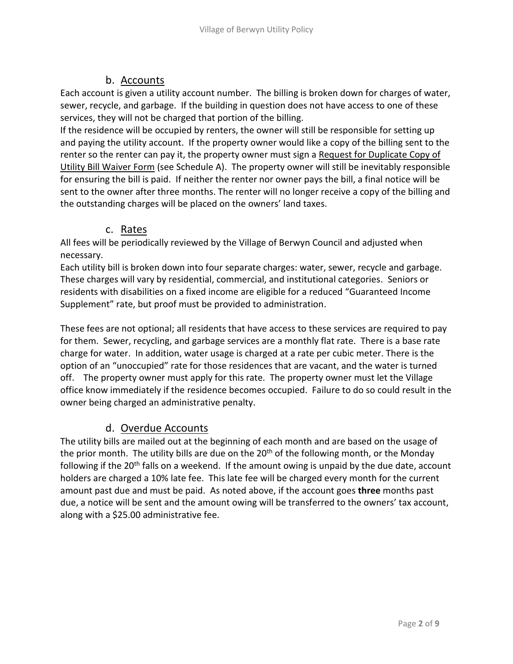# b. Accounts

Each account is given a utility account number. The billing is broken down for charges of water, sewer, recycle, and garbage. If the building in question does not have access to one of these services, they will not be charged that portion of the billing.

If the residence will be occupied by renters, the owner will still be responsible for setting up and paying the utility account. If the property owner would like a copy of the billing sent to the renter so the renter can pay it, the property owner must sign a Request for Duplicate Copy of Utility Bill Waiver Form (see Schedule A). The property owner will still be inevitably responsible for ensuring the bill is paid. If neither the renter nor owner pays the bill, a final notice will be sent to the owner after three months. The renter will no longer receive a copy of the billing and the outstanding charges will be placed on the owners' land taxes.

# c. Rates

All fees will be periodically reviewed by the Village of Berwyn Council and adjusted when necessary.

Each utility bill is broken down into four separate charges: water, sewer, recycle and garbage. These charges will vary by residential, commercial, and institutional categories. Seniors or residents with disabilities on a fixed income are eligible for a reduced "Guaranteed Income Supplement" rate, but proof must be provided to administration.

These fees are not optional; all residents that have access to these services are required to pay for them. Sewer, recycling, and garbage services are a monthly flat rate. There is a base rate charge for water. In addition, water usage is charged at a rate per cubic meter. There is the option of an "unoccupied" rate for those residences that are vacant, and the water is turned off. The property owner must apply for this rate. The property owner must let the Village office know immediately if the residence becomes occupied. Failure to do so could result in the owner being charged an administrative penalty.

# d. Overdue Accounts

The utility bills are mailed out at the beginning of each month and are based on the usage of the prior month. The utility bills are due on the  $20<sup>th</sup>$  of the following month, or the Monday following if the 20<sup>th</sup> falls on a weekend. If the amount owing is unpaid by the due date, account holders are charged a 10% late fee. This late fee will be charged every month for the current amount past due and must be paid. As noted above, if the account goes **three** months past due, a notice will be sent and the amount owing will be transferred to the owners' tax account, along with a \$25.00 administrative fee.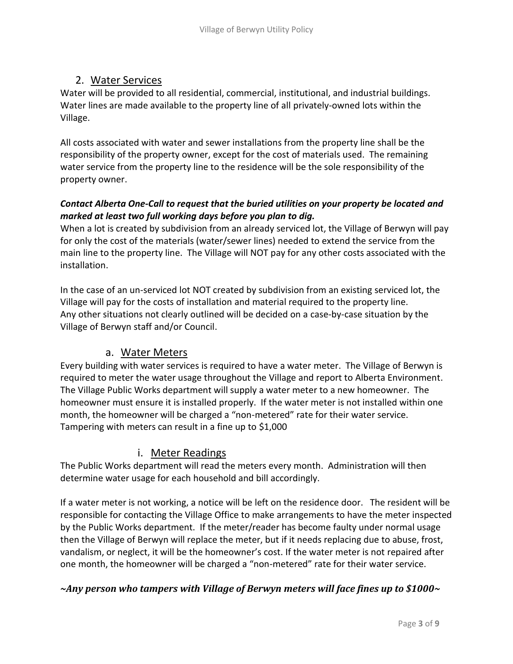## 2. Water Services

Water will be provided to all residential, commercial, institutional, and industrial buildings. Water lines are made available to the property line of all privately-owned lots within the Village.

All costs associated with water and sewer installations from the property line shall be the responsibility of the property owner, except for the cost of materials used. The remaining water service from the property line to the residence will be the sole responsibility of the property owner.

## *Contact Alberta One-Call to request that the buried utilities on your property be located and marked at least two full working days before you plan to dig.*

When a lot is created by subdivision from an already serviced lot, the Village of Berwyn will pay for only the cost of the materials (water/sewer lines) needed to extend the service from the main line to the property line. The Village will NOT pay for any other costs associated with the installation.

In the case of an un-serviced lot NOT created by subdivision from an existing serviced lot, the Village will pay for the costs of installation and material required to the property line. Any other situations not clearly outlined will be decided on a case-by-case situation by the Village of Berwyn staff and/or Council.

## a. Water Meters

Every building with water services is required to have a water meter. The Village of Berwyn is required to meter the water usage throughout the Village and report to Alberta Environment. The Village Public Works department will supply a water meter to a new homeowner. The homeowner must ensure it is installed properly. If the water meter is not installed within one month, the homeowner will be charged a "non-metered" rate for their water service. Tampering with meters can result in a fine up to \$1,000

# i. Meter Readings

The Public Works department will read the meters every month. Administration will then determine water usage for each household and bill accordingly.

If a water meter is not working, a notice will be left on the residence door. The resident will be responsible for contacting the Village Office to make arrangements to have the meter inspected by the Public Works department. If the meter/reader has become faulty under normal usage then the Village of Berwyn will replace the meter, but if it needs replacing due to abuse, frost, vandalism, or neglect, it will be the homeowner's cost. If the water meter is not repaired after one month, the homeowner will be charged a "non-metered" rate for their water service.

## *~Any person who tampers with Village of Berwyn meters will face fines up to \$1000~*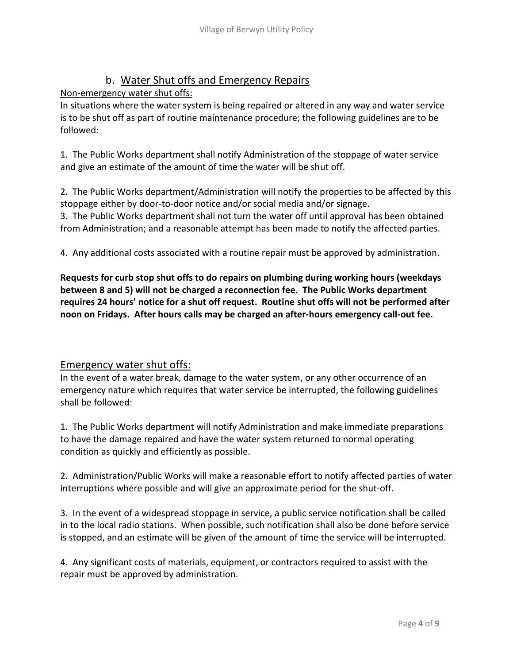# b. Water Shut offs and Emergency Repairs

Non-emergency water shut offs:

In situations where the water system is being repaired or altered in any way and water service is to be shut off as part of routine maintenance procedure; the following guidelines are to be followed:

1. The Public Works department shall notify Administration of the stoppage of water service and give an estimate of the amount of time the water will be shut off.

2. The Public Works department/Administration will notify the properties to be affected by this stoppage either by door-to-door notice and/or social media and/or signage.

3. The Public Works department shall not turn the water off until approval has been obtained from Administration; and a reasonable attempt has been made to notify the affected parties.

4. Any additional costs associated with a routine repair must be approved by administration.

**Requests for curb stop shut offs to do repairs on plumbing during working hours (weekdays between 8 and 5) will not be charged a reconnection fee. The Public Works department requires 24 hours' notice for a shut off request. Routine shut offs will not be performed after noon on Fridays. After hours calls may be charged an after-hours emergency call-out fee.**

## Emergency water shut offs:

In the event of a water break, damage to the water system, or any other occurrence of an emergency nature which requires that water service be interrupted, the following guidelines shall be followed:

1. The Public Works department will notify Administration and make immediate preparations to have the damage repaired and have the water system returned to normal operating condition as quickly and efficiently as possible.

2. Administration/Public Works will make a reasonable effort to notify affected parties of water interruptions where possible and will give an approximate period for the shut-off.

3. In the event of a widespread stoppage in service, a public service notification shall be called in to the local radio stations. When possible, such notification shall also be done before service is stopped, and an estimate will be given of the amount of time the service will be interrupted.

4. Any significant costs of materials, equipment, or contractors required to assist with the repair must be approved by administration.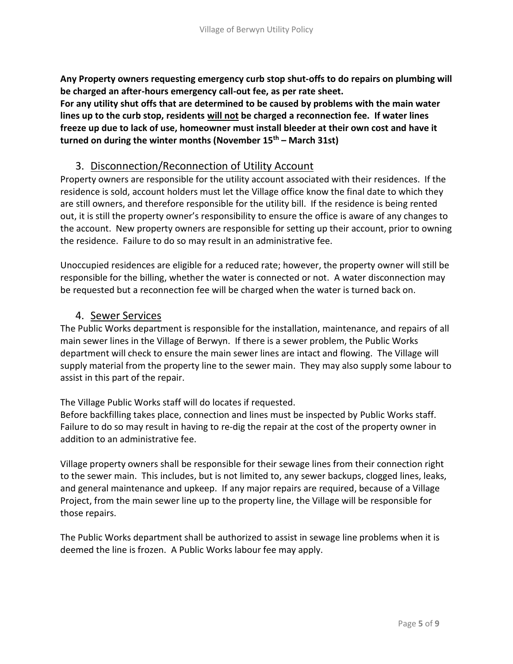**Any Property owners requesting emergency curb stop shut-offs to do repairs on plumbing will be charged an after-hours emergency call-out fee, as per rate sheet.**

**For any utility shut offs that are determined to be caused by problems with the main water lines up to the curb stop, residents will not be charged a reconnection fee. If water lines freeze up due to lack of use, homeowner must install bleeder at their own cost and have it turned on during the winter months (November 15th – March 31st)**

### 3. Disconnection/Reconnection of Utility Account

Property owners are responsible for the utility account associated with their residences. If the residence is sold, account holders must let the Village office know the final date to which they are still owners, and therefore responsible for the utility bill. If the residence is being rented out, it is still the property owner's responsibility to ensure the office is aware of any changes to the account. New property owners are responsible for setting up their account, prior to owning the residence. Failure to do so may result in an administrative fee.

Unoccupied residences are eligible for a reduced rate; however, the property owner will still be responsible for the billing, whether the water is connected or not. A water disconnection may be requested but a reconnection fee will be charged when the water is turned back on.

### 4. Sewer Services

The Public Works department is responsible for the installation, maintenance, and repairs of all main sewer lines in the Village of Berwyn. If there is a sewer problem, the Public Works department will check to ensure the main sewer lines are intact and flowing. The Village will supply material from the property line to the sewer main. They may also supply some labour to assist in this part of the repair.

The Village Public Works staff will do locates if requested.

Before backfilling takes place, connection and lines must be inspected by Public Works staff. Failure to do so may result in having to re-dig the repair at the cost of the property owner in addition to an administrative fee.

Village property owners shall be responsible for their sewage lines from their connection right to the sewer main. This includes, but is not limited to, any sewer backups, clogged lines, leaks, and general maintenance and upkeep. If any major repairs are required, because of a Village Project, from the main sewer line up to the property line, the Village will be responsible for those repairs.

The Public Works department shall be authorized to assist in sewage line problems when it is deemed the line is frozen. A Public Works labour fee may apply.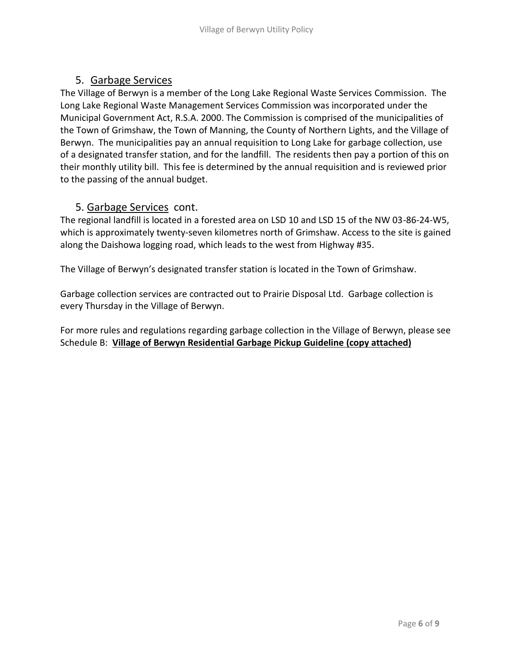# 5. Garbage Services

The Village of Berwyn is a member of the Long Lake Regional Waste Services Commission. The Long Lake Regional Waste Management Services Commission was incorporated under the Municipal Government Act, R.S.A. 2000. The Commission is comprised of the municipalities of the Town of Grimshaw, the Town of Manning, the County of Northern Lights, and the Village of Berwyn. The municipalities pay an annual requisition to Long Lake for garbage collection, use of a designated transfer station, and for the landfill. The residents then pay a portion of this on their monthly utility bill. This fee is determined by the annual requisition and is reviewed prior to the passing of the annual budget.

## 5. Garbage Services cont.

The regional landfill is located in a forested area on LSD 10 and LSD 15 of the NW 03-86-24-W5, which is approximately twenty-seven kilometres north of Grimshaw. Access to the site is gained along the Daishowa logging road, which leads to the west from Highway #35.

The Village of Berwyn's designated transfer station is located in the Town of Grimshaw.

Garbage collection services are contracted out to Prairie Disposal Ltd. Garbage collection is every Thursday in the Village of Berwyn.

For more rules and regulations regarding garbage collection in the Village of Berwyn, please see Schedule B: **Village of Berwyn Residential Garbage Pickup Guideline (copy attached)**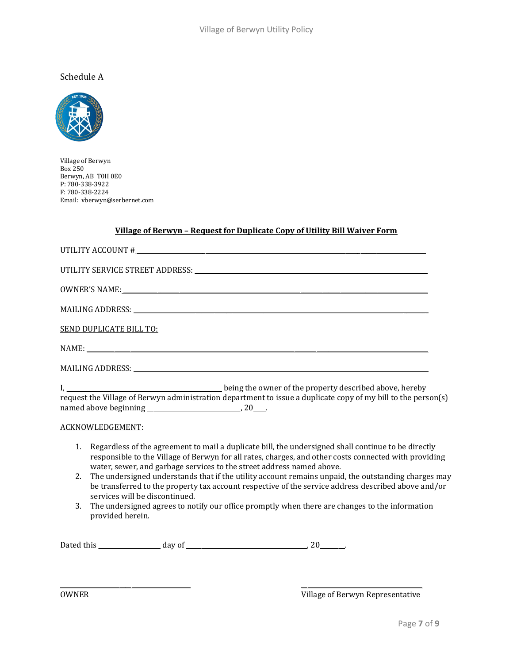### Schedule A



Village of Berwyn Box 250 Berwyn, AB T0H 0E0 P: 780-338-3922 F: 780-338-2224 Email: vberwyn@serbernet.com

#### **Village of Berwyn – Request for Duplicate Copy of Utility Bill Waiver Form**

| OWNER'S NAME: The contract of the contract of the contract of the contract of the contract of the contract of the contract of the contract of the contract of the contract of the contract of the contract of the contract of                                                               |
|---------------------------------------------------------------------------------------------------------------------------------------------------------------------------------------------------------------------------------------------------------------------------------------------|
|                                                                                                                                                                                                                                                                                             |
| <b>SEND DUPLICATE BILL TO:</b>                                                                                                                                                                                                                                                              |
|                                                                                                                                                                                                                                                                                             |
|                                                                                                                                                                                                                                                                                             |
| request the Village of Berwyn administration department to issue a duplicate copy of my bill to the person(s)                                                                                                                                                                               |
| ACKNOWLEDGEMENT:                                                                                                                                                                                                                                                                            |
| Regardless of the agreement to mail a duplicate bill, the undersigned shall continue to be directly<br>1.<br>responsible to the Village of Berwyn for all rates, charges, and other costs connected with providing<br>water, sewer, and garbage services to the street address named above. |
| The undersigned understands that if the utility account remains unpaid, the outstanding charges may<br>2.<br>be transferred to the property tax account respective of the service address described above and/or<br>services will be discontinued.                                          |
| The undersigned agrees to notify our office promptly when there are changes to the information<br>3.<br>provided herein.                                                                                                                                                                    |
|                                                                                                                                                                                                                                                                                             |

\_\_\_\_\_\_\_\_\_\_\_\_\_\_\_\_\_\_\_\_\_\_\_\_\_\_\_\_\_\_\_\_\_\_\_\_\_\_\_\_\_\_ \_\_\_\_\_\_\_\_\_\_\_\_\_\_\_\_\_\_\_\_\_\_\_\_\_\_\_\_\_\_\_\_\_\_\_\_\_\_\_

OWNER OWNER **OWNER CONSERVERGES CONSERVERGES CONSERVERGES CONSERVERGES CONSERVERGES CONSERVERGES CONSERVERGES CONSERVERGES**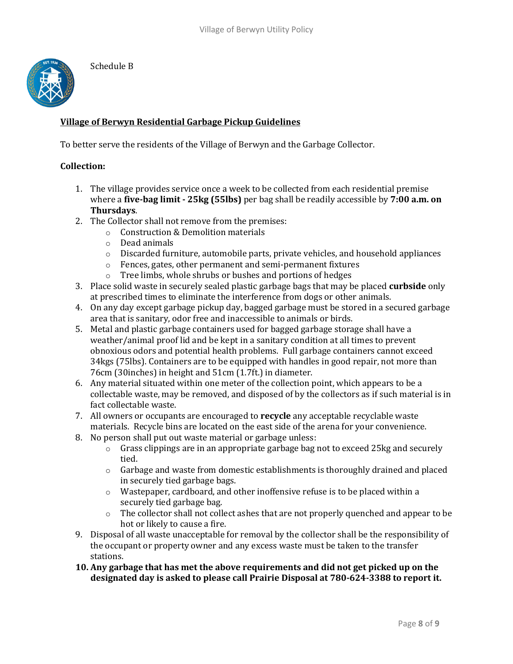

Schedule B

### **Village of Berwyn Residential Garbage Pickup Guidelines**

To better serve the residents of the Village of Berwyn and the Garbage Collector.

#### **Collection:**

- 1. The village provides service once a week to be collected from each residential premise where a **five-bag limit - 25kg (55lbs)** per bag shall be readily accessible by **7:00 a.m. on Thursdays**.
- 2. The Collector shall not remove from the premises:
	- o Construction & Demolition materials
	- o Dead animals
	- o Discarded furniture, automobile parts, private vehicles, and household appliances
	- o Fences, gates, other permanent and semi-permanent fixtures
	- o Tree limbs, whole shrubs or bushes and portions of hedges
- 3. Place solid waste in securely sealed plastic garbage bags that may be placed **curbside** only at prescribed times to eliminate the interference from dogs or other animals.
- 4. On any day except garbage pickup day, bagged garbage must be stored in a secured garbage area that is sanitary, odor free and inaccessible to animals or birds.
- 5. Metal and plastic garbage containers used for bagged garbage storage shall have a weather/animal proof lid and be kept in a sanitary condition at all times to prevent obnoxious odors and potential health problems. Full garbage containers cannot exceed 34kgs (75lbs). Containers are to be equipped with handles in good repair, not more than 76cm (30inches) in height and 51cm (1.7ft.) in diameter.
- 6. Any material situated within one meter of the collection point, which appears to be a collectable waste, may be removed, and disposed of by the collectors as if such material is in fact collectable waste.
- 7. All owners or occupants are encouraged to **recycle** any acceptable recyclable waste materials. Recycle bins are located on the east side of the arena for your convenience.
- 8. No person shall put out waste material or garbage unless:
	- $\circ$  Grass clippings are in an appropriate garbage bag not to exceed 25 kg and securely tied.
	- o Garbage and waste from domestic establishments is thoroughly drained and placed in securely tied garbage bags.
	- $\circ$  Wastepaper, cardboard, and other inoffensive refuse is to be placed within a securely tied garbage bag.
	- o The collector shall not collect ashes that are not properly quenched and appear to be hot or likely to cause a fire.
- 9. Disposal of all waste unacceptable for removal by the collector shall be the responsibility of the occupant or property owner and any excess waste must be taken to the transfer stations.
- **10. Any garbage that has met the above requirements and did not get picked up on the designated day is asked to please call Prairie Disposal at 780-624-3388 to report it.**